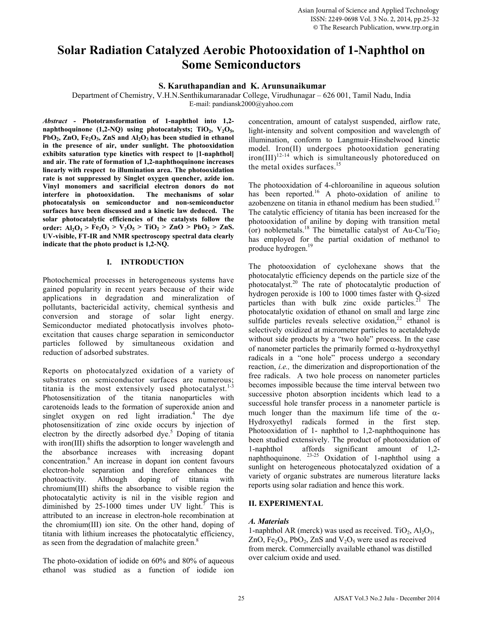# **Solar Radiation Catalyzed Aerobic Photooxidation of 1-Naphthol on Some Semiconductors**

# **S. Karuthapandian and K. Arunsunaikumar**

Department of Chemistry, V.H.N.Senthikumaranadar College, Virudhunagar – 626 001, Tamil Nadu, India E-mail: pandiansk2000@yahoo.com

*Abstract -* **Phototransformation of 1-naphthol into 1,2** naphthoquinone  $(1,2-NQ)$  using photocatalysts; TiO<sub>2</sub>, V<sub>2</sub>O<sub>5</sub>, PbO<sub>2</sub>, ZnO, Fe<sub>2</sub>O<sub>3</sub>, ZnS and Al<sub>2</sub>O<sub>3</sub> has been studied in ethanol **in the presence of air, under sunlight. The photooxidation exhibits saturation type kinetics with respect to [1-naphthol] and air. The rate of formation of 1,2-naphthoquinone increases linearly with respect to illumination area. The photooxidation rate is not suppressed by Singlet oxygen quencher, azide ion. Vinyl monomers and sacrificial electron donors do not interfere in photooxidation. The mechanisms of solar photocatalysis on semiconductor and non-semiconductor surfaces have been discussed and a kinetic law deduced. The solar photocatalytic efficiencies of the catalysts follow the**  order:  $A1_2O_3 > Fe_2O_3 > V_2O_5 > TiO_2 > ZnO > PbO_2 > ZnS$ . **UV-visible, FT-IR and NMR spectroscopy spectral data clearly indicate that the photo product is 1,2-NQ.** 

# **I. INTRODUCTION**

Photochemical processes in heterogeneous systems have gained popularity in recent years because of their wide applications in degradation and mineralization of pollutants, bactericidal activity, chemical synthesis and conversion and storage of solar light energy. Semiconductor mediated photocatlysis involves photoexcitation that causes charge separation in semiconductor particles followed by simultaneous oxidation and reduction of adsorbed substrates.

Reports on photocatalyzed oxidation of a variety of substrates on semiconductor surfaces are numerous; titania is the most extensively used photocatalyst. $1-3$ Photosensitization of the titania nanoparticles with carotenoids leads to the formation of superoxide anion and singlet oxygen on red light irradiation.<sup>4</sup> The dye photosensitization of zinc oxide occurs by injection of electron by the directly adsorbed dye.<sup>5</sup> Doping of titania with iron(III) shifts the adsorption to longer wavelength and the absorbance increases with increasing dopant concentration.<sup>6</sup> An increase in dopant ion content favours electron-hole separation and therefore enhances the photoactivity. Although doping of titania with chromium(III) shifts the absorbance to visible region the photocatalytic activity is nil in the visible region and diminished by 25-1000 times under UV light.<sup>7</sup> This is attributed to an increase in electron-hole recombination at the chromium(III) ion site. On the other hand, doping of titania with lithium increases the photocatalytic efficiency, as seen from the degradation of malachite green.<sup>8</sup>

The photo-oxidation of iodide on 60% and 80% of aqueous ethanol was studied as a function of iodide ion

concentration, amount of catalyst suspended, airflow rate, light-intensity and solvent composition and wavelength of illumination, conform to Langmuir-Hinshelwood kinetic model. Iron(II) undergoes photooxidation generating  $iron (III)^{12-14}$  which is simultaneously photoreduced on the metal oxides surfaces.<sup>15</sup>

The photooxidation of 4-chloroaniline in aqueous solution has been reported.<sup>16</sup> A photo-oxidation of aniline to azobenzene on titania in ethanol medium has been studied. $17$ The catalytic efficiency of titania has been increased for the photooxidation of aniline by doping with transition metal (or) noblemetals.<sup>18</sup> The bimetallic catalyst of Au-Cu/Tio<sub>2</sub> has employed for the partial oxidation of methanol to produce hydrogen.19

The photooxidation of cyclohexane shows that the photocatalytic efficiency depends on the particle size of the photocatalyst.20 The rate of photocatalytic production of hydrogen peroxide is 100 to 1000 times faster with Q-sized particles than with bulk zinc oxide particles. $21$  The photocatalytic oxidation of ethanol on small and large zinc sulfide particles reveals selective oxidation,  $2^2$  ethanol is selectively oxidized at micrometer particles to acetaldehyde without side products by a "two hole" process. In the case of nanometer particles the primarily formed  $\alpha$ -hydroxyethyl radicals in a "one hole" process undergo a secondary reaction, *i.e.,* the dimerization and disproportionation of the free radicals. A two hole process on nanometer particles becomes impossible because the time interval between two successive photon absorption incidents which lead to a successful hole transfer process in a nanometer particle is much longer than the maximum life time of the  $\alpha$ -Hydroxyethyl radicals formed in the first step. Photooxidation of 1- naphthol to 1,2-naphthoquinone has been studied extensively. The product of photooxidation of 1-naphthol affords significant amount of 1,2 naphthoquinone. <sup>23-25</sup> Oxidation of 1-naphthol using a sunlight on heterogeneous photocatalyzed oxidation of a variety of organic substrates are numerous literature lacks reports using solar radiation and hence this work.

# **II. EXPERIMENTAL**

# *A. Materials*

1-naphthol AR (merck) was used as received. TiO<sub>2</sub>,  $Al_2O_3$ , ZnO,  $Fe<sub>2</sub>O<sub>3</sub>$ ,  $PbO<sub>2</sub>$ , ZnS and  $V<sub>2</sub>O<sub>5</sub>$  were used as received from merck. Commercially available ethanol was distilled over calcium oxide and used.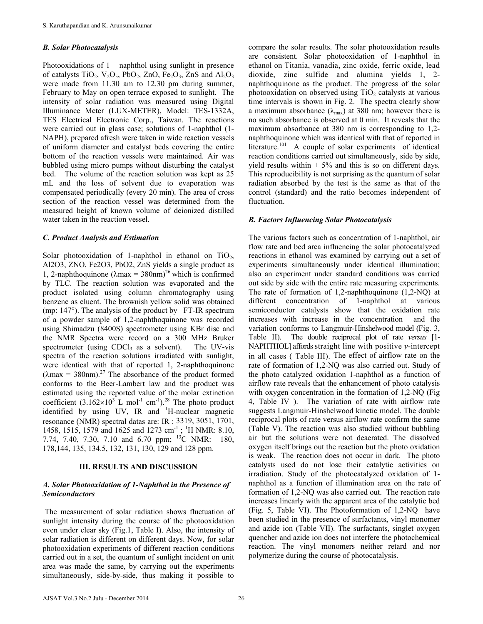#### *B. Solar Photocatalysis*

Photooxidations of 1 – naphthol using sunlight in presence of catalysts  $TiO_2$ ,  $V_2O_5$ ,  $PbO_2$ ,  $ZnO$ ,  $Fe_2O_3$ ,  $ZnS$  and  $Al_2O_3$ were made from 11.30 am to 12.30 pm during summer, February to May on open terrace exposed to sunlight. The intensity of solar radiation was measured using Digital Illuminance Meter (LUX-METER), Model: TES-1332A, TES Electrical Electronic Corp., Taiwan. The reactions were carried out in glass case; solutions of 1-naphthol (1- NAPH), prepared afresh were taken in wide reaction vessels of uniform diameter and catalyst beds covering the entire bottom of the reaction vessels were maintained. Air was bubbled using micro pumps without disturbing the catalyst bed. The volume of the reaction solution was kept as 25 mL and the loss of solvent due to evaporation was compensated periodically (every 20 min). The area of cross section of the reaction vessel was determined from the measured height of known volume of deionized distilled water taken in the reaction vessel.

#### *C. Product Analysis and Estimation*

Solar photooxidation of 1-naphthol in ethanol on  $TiO<sub>2</sub>$ , Al2O3, ZNO, Fe2O3, PbO2, ZnS yields a single product as 1, 2-naphthoquinone ( $\lambda$ max = 380nm)<sup>26</sup> which is confirmed by TLC. The reaction solution was evaporated and the product isolated using column chromatography using benzene as eluent. The brownish yellow solid was obtained (mp: 147°). The analysis of the product by FT-IR spectrum of a powder sample of 1,2-naphthoquinone was recorded using Shimadzu (8400S) spectrometer using KBr disc and the NMR Spectra were record on a 300 MHz Bruker spectrometer (using CDCl<sub>3</sub> as a solvent). The UV-vis spectra of the reaction solutions irradiated with sunlight, were identical with that of reported 1, 2-naphthoquinone  $(\lambda max = 380$ nm).<sup>27</sup> The absorbance of the product formed conforms to the Beer-Lambert law and the product was estimated using the reported value of the molar extinction coefficient  $(3.162\times10^{3} \text{ L mol}^{-1} \text{ cm}^{-1})^{28}$  The photo product identified by using UV, IR and <sup>1</sup>H-nuclear magnetic resonance (NMR) spectral datas are: IR : 3319, 3051, 1701, 1458, 1515, 1579 and 1625 and 1273 cm<sup>-1</sup>; <sup>1</sup>H NMR: 8.10, 7.74, 7.40, 7.30, 7.10 and 6.70 ppm; <sup>13</sup>C NMR: 180, 178,144, 135, 134.5, 132, 131, 130, 129 and 128 ppm.

#### **III. RESULTS AND DISCUSSION**

# *A. Solar Photooxidation of 1-Naphthol in the Presence of Semiconductors*

 The measurement of solar radiation shows fluctuation of sunlight intensity during the course of the photooxidation even under clear sky (Fig.1, Table I). Also, the intensity of solar radiation is different on different days. Now, for solar photooxidation experiments of different reaction conditions carried out in a set, the quantum of sunlight incident on unit area was made the same, by carrying out the experiments simultaneously, side-by-side, thus making it possible to compare the solar results. The solar photooxidation results are consistent. Solar photooxidation of 1-naphthol in ethanol on Titania, vanadia, zinc oxide, ferric oxide, lead dioxide, zinc sulfide and alumina yields 1, 2 naphthoquinone as the product. The progress of the solar photooxidation on observed using  $TiO<sub>2</sub>$  catalysts at various time intervals is shown in Fig. 2. The spectra clearly show a maximum absorbance ( $\lambda_{\text{max}}$ ) at 380 nm; however there is no such absorbance is observed at 0 min. It reveals that the maximum absorbance at 380 nm is corresponding to 1,2 naphthoquinone which was identical with that of reported in literature.<sup>101</sup> A couple of solar experiments of identical reaction conditions carried out simultaneously, side by side, yield results within  $\pm$  5% and this is so on different days. This reproducibility is not surprising as the quantum of solar radiation absorbed by the test is the same as that of the control (standard) and the ratio becomes independent of fluctuation.

#### *B. Factors Influencing Solar Photocatalysis*

The various factors such as concentration of 1-naphthol, air flow rate and bed area influencing the solar photocatalyzed reactions in ethanol was examined by carrying out a set of experiments simultaneously under identical illumination; also an experiment under standard conditions was carried out side by side with the entire rate measuring experiments. The rate of formation of 1,2-naphthoquinone (1,2-NQ) at different concentration of 1-naphthol at various semiconductor catalysts show that the oxidation rate increases with increase in the concentration and the variation conforms to Langmuir-Hinshelwood model (Fig. 3, Table II). The double reciprocal plot of rate *versus* [1- NAPHTHOL] affords straight line with positive *y*-intercept in all cases ( Table III). The effect of airflow rate on the rate of formation of 1,2-NQ was also carried out. Study of the photo catalyzed oxidation 1-naphthol as a function of airflow rate reveals that the enhancement of photo catalysis with oxygen concentration in the formation of 1,2-NQ (Fig. 4, Table IV ). The variation of rate with airflow rate suggests Langmuir-Hinshelwood kinetic model. The double reciprocal plots of rate versus airflow rate confirm the same (Table V). The reaction was also studied without bubbling air but the solutions were not deaerated. The dissolved oxygen itself brings out the reaction but the photo oxidation is weak. The reaction does not occur in dark. The photo catalysts used do not lose their catalytic activities on irradiation. Study of the photocatalyzed oxidation of 1 naphthol as a function of illumination area on the rate of formation of 1,2-NQ was also carried out. The reaction rate increases linearly with the apparent area of the catalytic bed (Fig. 5, Table VI). The Photoformation of 1,2-NQ have been studied in the presence of surfactants, vinyl monomer and azide ion (Table VII). The surfactants, singlet oxygen quencher and azide ion does not interfere the photochemical reaction. The vinyl monomers neither retard and nor polymerize during the course of photocatalysis.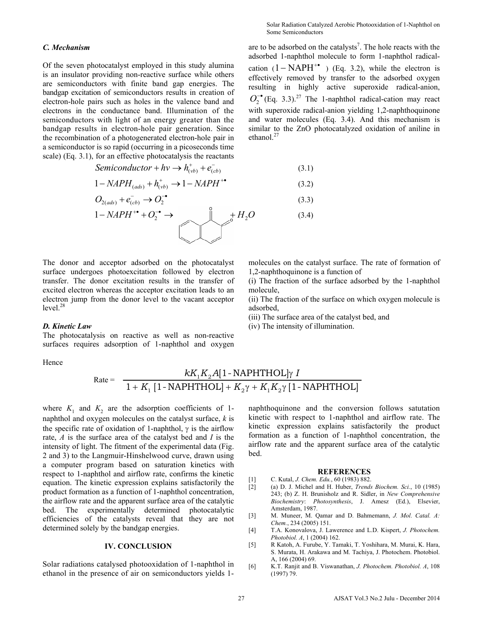# *C. Mechanism*

Of the seven photocatalyst employed in this study alumina is an insulator providing non-reactive surface while others are semiconductors with finite band gap energies. The bandgap excitation of semiconductors results in creation of electron-hole pairs such as holes in the valence band and electrons in the conductance band. Illumination of the semiconductors with light of an energy greater than the bandgap results in electron-hole pair generation. Since the recombination of a photogenerated electron-hole pair in a semiconductor is so rapid (occurring in a picoseconds time scale) (Eq. 3.1), for an effective photocatalysis the reactants

are to be adsorbed on the catalysts<sup>7</sup>. The hole reacts with the adsorbed 1-naphthol molecule to form 1-naphthol radicalcation  $(1 - \text{NAPH}^{+})$  (Eq. 3.2), while the electron is effectively removed by transfer to the adsorbed oxygen resulting in highly active superoxide radical-anion,  $O_2^{\bullet}$  (Eq. 3.3).<sup>27</sup> The 1-naphthol radical-cation may react with superoxide radical-anion yielding 1,2-naphthoquinone and water molecules (Eq. 3.4). And this mechanism is similar to the ZnO photocatalyzed oxidation of aniline in ethanol.<sup>27</sup>

$$
Semiconductor + hv \rightarrow h_{(vb)}^+ + e_{(cb)}^-
$$
\n(3.1)

$$
1 - NAPH_{(ads)} + h_{(vb)}^{+} \rightarrow 1 - NAPH^{+} \tag{3.2}
$$

$$
O_{2(ads)} + e_{(cb)}^- \rightarrow O_2^{-\bullet}
$$
\n
$$
(3.3)
$$

$$
1 - NAPH^{+} + O_2^{-} \rightarrow \bigotimes_{\mathbb{C}} \mathbb{C}^{\dagger} H_2 O \tag{3.4}
$$

The donor and acceptor adsorbed on the photocatalyst surface undergoes photoexcitation followed by electron transfer. The donor excitation results in the transfer of excited electron whereas the acceptor excitation leads to an electron jump from the donor level to the vacant acceptor  $level.<sup>28</sup>$ 

#### *D. Kinetic Law*

The photocatalysis on reactive as well as non-reactive surfaces requires adsorption of 1-naphthol and oxygen

Hence

molecules on the catalyst surface. The rate of formation of 1,2-naphthoquinone is a function of

(i) The fraction of the surface adsorbed by the 1-naphthol molecule,

(ii) The fraction of the surface on which oxygen molecule is adsorbed,

(iii) The surface area of the catalyst bed, and

(iv) The intensity of illumination.

#### Rate =  $kK_1K_2A[1-NAPHTHOL]\gamma$  $+ K_1 [1 - NAPHTHOL] + K_2 \gamma + K_1 K_2 \gamma$  $1$ <sup>1</sup> $2$ 1 2 12 [1-NAPHTHOL]  $1 + K_1 [1 - NAPHTHOL] + K_2 \gamma + K_1 K_2 \gamma [1 - NAPHTHOL]$  $kK_1K_2A[1-NAPHTHOL]$  $K_1$  [1 - NAPHTHOL] +  $K_2\gamma$  +  $K_1K$

where  $K_1$  and  $K_2$  are the adsorption coefficients of 1naphthol and oxygen molecules on the catalyst surface, *k* is the specific rate of oxidation of 1-naphthol,  $\gamma$  is the airflow rate, *A* is the surface area of the catalyst bed and *I* is the intensity of light. The fitment of the experimental data (Fig. 2 and 3) to the Langmuir-Hinshelwood curve, drawn using a computer program based on saturation kinetics with respect to 1-naphthol and airflow rate, confirms the kinetic equation. The kinetic expression explains satisfactorily the product formation as a function of 1-naphthol concentration, the airflow rate and the apparent surface area of the catalytic bed. The experimentally determined photocatalytic efficiencies of the catalysts reveal that they are not determined solely by the bandgap energies.

# **IV. CONCLUSION**

Solar radiations catalysed photooxidation of 1-naphthol in ethanol in the presence of air on semiconductors yields 1naphthoquinone and the conversion follows satutation kinetic with respect to 1-naphthol and airflow rate. The kinetic expression explains satisfactorily the product formation as a function of 1-naphthol concentration, the airflow rate and the apparent surface area of the catalytic bed.

#### **REFERENCES**

- [1] C. Kutal, *J. Chem. Edu.*, 60 (1983) 882.
- [2] (a) D. J. Michel and H. Huber, *Trends Biochem. Sci.*, 10 (1985) 243; (b) Z. H. Brunisholz and R. Sidler, in *New Comprehensive Biochemistry*: *Photosynthesis*, J. Amesz (Ed.), Elsevier, Amsterdam, 1987.
- [3] M. Muneer, M. Qamar and D. Bahmemann, *J. Mol. Catal. A: Chem.*, 234 (2005) 151.
- [4] T.A. Konovalova, J. Lawerence and L.D. Kispert, *J. Photochem. Photobiol. A*, 1 (2004) 162.
- [5] R Katoh, A. Furube, Y. Tamaki, T. Yoshihara, M. Murai, K. Hara, S. Murata, H. Arakawa and M. Tachiya, J. Photochem. Photobiol. A, 166 (2004) 69.
- [6] K.T. Ranjit and B. Viswanathan, *J. Photochem. Photobiol. A*, 108 (1997) 79.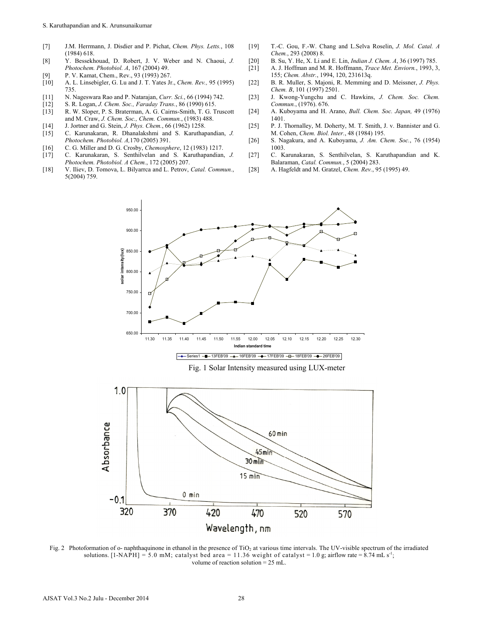- [7] J.M. Herrmann, J. Disdier and P. Pichat, *Chem. Phys. Letts.*, 108 (1984) 618.
- [8] Y. Bessekhouad, D. Robert, J. V. Weber and N. Chaoui, *J. Photochem. Photobiol. A*, 167 (2004) 49.
- [9] P. V. Kamat, Chem., Rev., 93 (1993) 267.<br>[10] A. L. Linsebigler, G. Lu and J. T. Yates Jr.
- [10] A. L. Linsebigler, G. Lu and J. T. Yates Jr., *Chem. Rev.,* 95 (1995) 735.
- [11] N. Nageswara Rao and P. Natarajan, *Curr. Sci.*, 66 (1994) 742.
- [12] S. R. Logan, *J. Chem. Soc., Faraday Trans.*, 86 (1990) 615.
- [13] R. W. Sloper, P. S. Braterman, A. G. Cairns-Smith, T. G. Truscott and M. Craw, *J. Chem. Soc., Chem. Commun.*, (1983) 488.
- [14] J. Jortner and G. Stein, *J. Phys. Chem.*, 66 (1962) 1258. [15] C. Karunakaran, R. Dhanalakshmi and S. Karuthapandian, *J. Photochem. Photobiol. A,*170 (2005) 391.
- [16] C. G. Miller and D. G. Crosby, *Chemosphere*, 12 (1983) 1217.
- [17] C. Karunakaran, S. Senthilvelan and S. Karuthapandian, *J. Photochem. Photobiol. A Chem.*, 172 (2005) 207.
- [18] V. Iliev, D. Tomova, L. Bilyarrca and L. Petrov, *Catal. Commun.*, 5(2004) 759.
- [19] T.-C. Gou, F.-W. Chang and L.Selva Roselin, *J. Mol. Catal. A Chem.*, 293 (2008) 8.
- [20] B. Su, Y. He, X. Li and E. Lin, *Indian J. Chem. A*, 36 (1997) 785.
- [21] A. J. Hoffman and M. R. Hoffmann, *Trace Met. Enviorn.*, 1993, 3, 155; *Chem. Abstr.*, 1994, 120, 231613q.
- [22] B. R. Muller, S. Majoni, R. Memming and D. Meissner, *J. Phys. Chem. B*, 101 (1997) 2501.
- [23] J. Kwong-Yungchu and C. Hawkins, *J. Chem. Soc. Chem. Commun.*, (1976). 676.
- [24] A. Kuboyama and H. Arano, *Bull. Chem. Soc. Japan,* 49 (1976) 1401.
- [25] P. J. Thornalley, M. Doherty, M. T. Smith, J. v. Bannister and G. M. Cohen, *Chem. Biol. Inter.*, 48 (1984) 195.
- [26] S. Nagakura, and A. Kuboyama, *J. Am. Chem. Soc.*, 76 (1954) 1003.
- [27] C. Karunakaran, S. Senthilvelan, S. Karuthapandian and K. Balaraman, *Catal. Commun.*, 5 (2004) 283.
- [28] A. Hagfeldt and M. Gratzel, *Chem. Rev.*, 95 (1995) 49.



Fig. 1 Solar Intensity measured using LUX-meter



Fig. 2 Photoformation of o- naphthaquinone in ethanol in the presence of TiO<sub>2</sub> at various time intervals. The UV-visible spectrum of the irradiated solutions.  $[1-NAPH] = 5.0$  mM; catalyst bed area = 11.36 weight of catalyst = 1.0 g; airflow rate = 8.74 mL s<sup>-1</sup>; volume of reaction solution = 25 mL.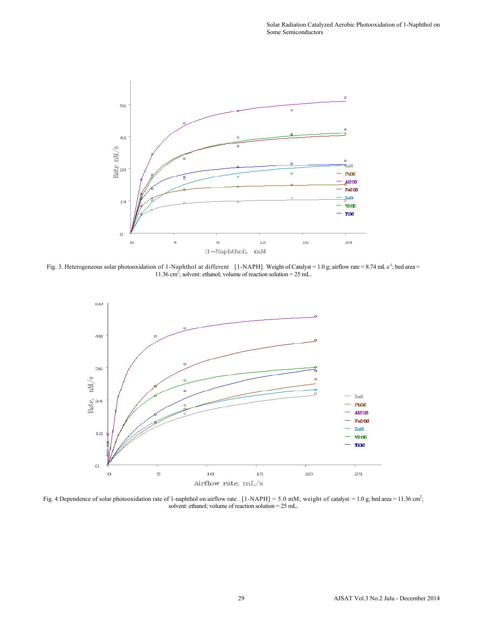

Fig. 3. Heterogeneous solar photooxidation of 1-Naphthol at different [1-NAPH]. Weight of Catalyst = 1.0 g; airflow rate = 8.74 mLs<sup>-1</sup>; bed area = 11.36 cm2 ; solvent: ethanol; volume of reaction solution = 25 mL.



Fig. 4 Dependence of solar photooxidation rate of 1-naphthol on airflow rate . [1-NAPH] = 5.0 mM; weight of catalyst = 1.0 g; bed area = 11.36 cm<sup>2</sup>; solvent: ethanol; volume of reaction solution = 25 mL.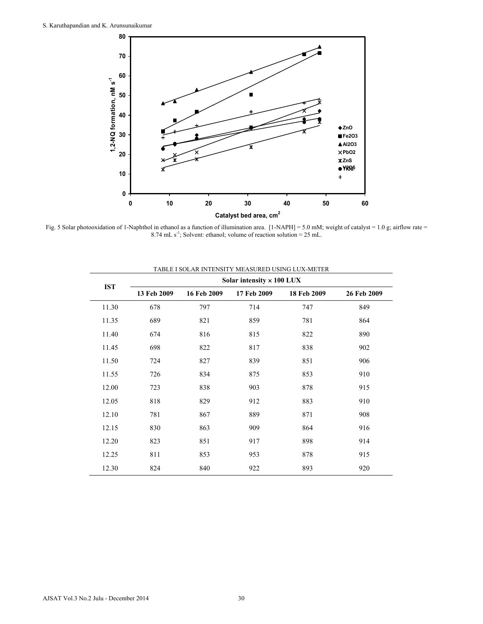

Fig. 5 Solar photooxidation of 1-Naphthol in ethanol as a function of illumination area. [1-NAPH] = 5.0 mM; weight of catalyst = 1.0 g; airflow rate = 8.74 mL  $s^{-1}$ ; Solvent: ethanol; volume of reaction solution = 25 mL.

|            | TABLE I SOLAR INTENSITY MEASURED USING LUX-METER |             |             |             |             |  |  |  |  |  |  |
|------------|--------------------------------------------------|-------------|-------------|-------------|-------------|--|--|--|--|--|--|
| <b>IST</b> | Solar intensity $\times$ 100 LUX                 |             |             |             |             |  |  |  |  |  |  |
|            | 13 Feb 2009                                      | 16 Feb 2009 | 17 Feb 2009 | 18 Feb 2009 | 26 Feb 2009 |  |  |  |  |  |  |
| 11.30      | 678                                              | 797         | 714         | 747         | 849         |  |  |  |  |  |  |
| 11.35      | 689                                              | 821         | 859         | 781         | 864         |  |  |  |  |  |  |
| 11.40      | 674                                              | 816         | 815         | 822         | 890         |  |  |  |  |  |  |
| 11.45      | 698                                              | 822         | 817         | 838         | 902         |  |  |  |  |  |  |
| 11.50      | 724                                              | 827         | 839         | 851         | 906         |  |  |  |  |  |  |
| 11.55      | 726                                              | 834         | 875         | 853         | 910         |  |  |  |  |  |  |
| 12.00      | 723                                              | 838         | 903         | 878         | 915         |  |  |  |  |  |  |
| 12.05      | 818                                              | 829         | 912         | 883         | 910         |  |  |  |  |  |  |
| 12.10      | 781                                              | 867         | 889         | 871         | 908         |  |  |  |  |  |  |
| 12.15      | 830                                              | 863         | 909         | 864         | 916         |  |  |  |  |  |  |
| 12.20      | 823                                              | 851         | 917         | 898         | 914         |  |  |  |  |  |  |
| 12.25      | 811                                              | 853         | 953         | 878         | 915         |  |  |  |  |  |  |
| 12.30      | 824                                              | 840         | 922         | 893         | 920         |  |  |  |  |  |  |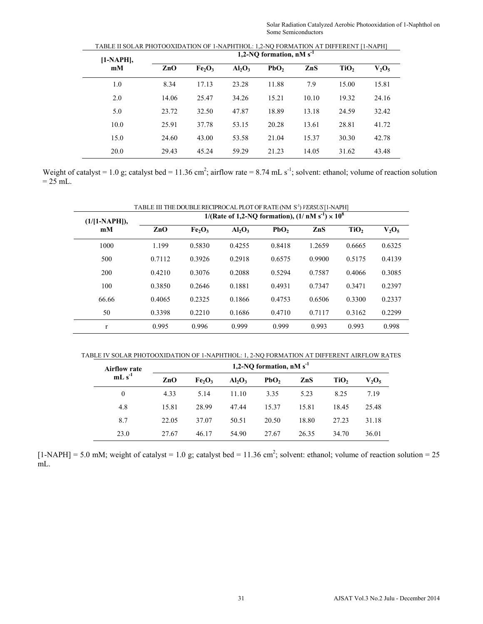| $[1-NAPH]$ , | 1,2-NO formation, $nM s^{-1}$ |                                |           |                  |       |                  |          |  |  |
|--------------|-------------------------------|--------------------------------|-----------|------------------|-------|------------------|----------|--|--|
| mM           | ZnO                           | Fe <sub>2</sub> O <sub>3</sub> | $Al_2O_3$ | PbO <sub>2</sub> | ZnS   | TiO <sub>2</sub> | $V_2O_5$ |  |  |
| 1.0          | 8.34                          | 17.13                          | 23.28     | 11.88            | 7.9   | 15.00            | 15.81    |  |  |
| 2.0          | 14.06                         | 25.47                          | 34.26     | 15.21            | 10.10 | 19.32            | 24.16    |  |  |
| 5.0          | 23.72                         | 32.50                          | 47.87     | 18.89            | 13.18 | 24.59            | 32.42    |  |  |
| 10.0         | 25.91                         | 37.78                          | 53.15     | 20.28            | 13.61 | 28.81            | 41.72    |  |  |
| 15.0         | 24.60                         | 43.00                          | 53.58     | 21.04            | 15.37 | 30.30            | 42.78    |  |  |
| 20.0         | 29.43                         | 45.24                          | 59.29     | 21.23            | 14.05 | 31.62            | 43.48    |  |  |

TABLE II SOLAR PHOTOOXIDATION OF 1-NAPHTHOL: 1,2-NQ FORMATION AT DIFFERENT [1-NAPH]

Weight of catalyst = 1.0 g; catalyst bed = 11.36 cm<sup>2</sup>; airflow rate = 8.74 mL s<sup>-1</sup>; solvent: ethanol; volume of reaction solution  $= 25$  mL.

| TABLE III THE DOUBLE RECIPROCAL PLOT OF RATE (NM S <sup>-1</sup> ) VERSUS [1-NAPH] |        |                                |                                                                   |                  |                |                  |          |  |  |  |  |
|------------------------------------------------------------------------------------|--------|--------------------------------|-------------------------------------------------------------------|------------------|----------------|------------------|----------|--|--|--|--|
| $(1/[1-NAPH]),$                                                                    |        |                                | 1/(Rate of 1,2-NQ formation), $(1/\text{ nM s}^{-1}) \times 10^8$ |                  |                |                  |          |  |  |  |  |
| mM                                                                                 | ZnO    | Fe <sub>2</sub> O <sub>3</sub> | $Al_2O_3$                                                         | PbO <sub>2</sub> | $\mathbf{ZnS}$ | TiO <sub>2</sub> | $V_2O_5$ |  |  |  |  |
| 1000                                                                               | 1.199  | 0.5830                         | 0.4255                                                            | 0.8418           | 1.2659         | 0.6665           | 0.6325   |  |  |  |  |
| 500                                                                                | 0.7112 | 0.3926                         | 0.2918                                                            | 0.6575           | 0.9900         | 0.5175           | 0.4139   |  |  |  |  |
| 200                                                                                | 0.4210 | 0.3076                         | 0.2088                                                            | 0.5294           | 0.7587         | 0.4066           | 0.3085   |  |  |  |  |
| 100                                                                                | 0.3850 | 0.2646                         | 0.1881                                                            | 0.4931           | 0.7347         | 0.3471           | 0.2397   |  |  |  |  |
| 66.66                                                                              | 0.4065 | 0.2325                         | 0.1866                                                            | 0.4753           | 0.6506         | 0.3300           | 0.2337   |  |  |  |  |
| 50                                                                                 | 0.3398 | 0.2210                         | 0.1686                                                            | 0.4710           | 0.7117         | 0.3162           | 0.2299   |  |  |  |  |
| $\mathbf{r}$                                                                       | 0.995  | 0.996                          | 0.999                                                             | 0.999            | 0.993          | 0.993            | 0.998    |  |  |  |  |

TABLE IV SOLAR PHOTOOXIDATION OF 1-NAPHTHOL: 1, 2-NQ FORMATION AT DIFFERENT AIRFLOW RATES

| <b>Airflow rate</b> | 1,2-NQ formation, $nM s^{-1}$ |                                |           |                  |       |                  |                                             |  |  |
|---------------------|-------------------------------|--------------------------------|-----------|------------------|-------|------------------|---------------------------------------------|--|--|
| $mLs^{-1}$          | ZnO                           | Fe <sub>2</sub> O <sub>3</sub> | $Al_2O_3$ | PbO <sub>2</sub> | ZnS   | TiO <sub>2</sub> | $V_2O_5$<br>7.19<br>25.48<br>31.18<br>36.01 |  |  |
| $\theta$            | 4.33                          | 5.14                           | 11.10     | 3.35             | 5.23  | 8.25             |                                             |  |  |
| 4.8                 | 15.81                         | 28.99                          | 47.44     | 15.37            | 15.81 | 18.45            |                                             |  |  |
| 8.7                 | 22.05                         | 37.07                          | 50.51     | 20.50            | 18.80 | 27.23            |                                             |  |  |
| 23.0                | 27.67                         | 46.17                          | 54.90     | 27.67            | 26.35 | 34.70            |                                             |  |  |

 $[1-NAPH] = 5.0$  mM; weight of catalyst = 1.0 g; catalyst bed = 11.36 cm<sup>2</sup>; solvent: ethanol; volume of reaction solution = 25 mL.